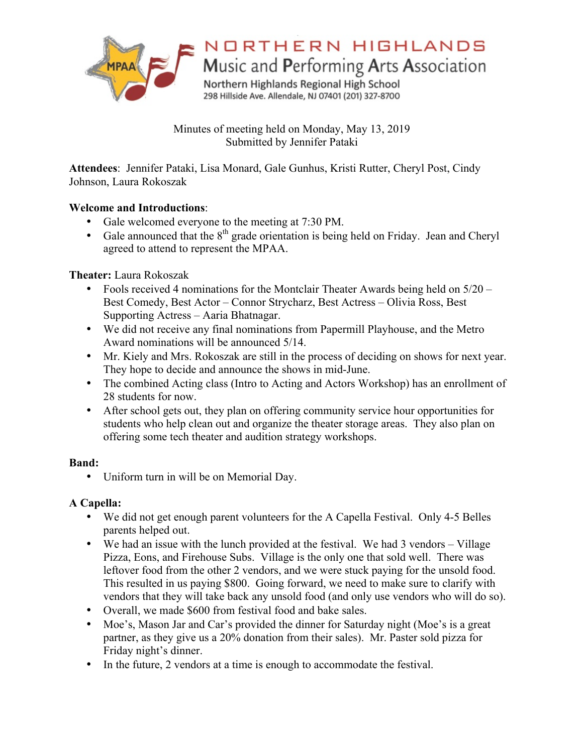

# NORTHERN HIGHLANDS

Music and Performing Arts Association

Northern Highlands Regional High School 298 Hillside Ave. Allendale, NJ 07401 (201) 327-8700

Minutes of meeting held on Monday, May 13, 2019 Submitted by Jennifer Pataki

**Attendees**: Jennifer Pataki, Lisa Monard, Gale Gunhus, Kristi Rutter, Cheryl Post, Cindy Johnson, Laura Rokoszak

## **Welcome and Introductions**:

- Gale welcomed everyone to the meeting at 7:30 PM.
- Gale announced that the  $8<sup>th</sup>$  grade orientation is being held on Friday. Jean and Cheryl agreed to attend to represent the MPAA.

## **Theater:** Laura Rokoszak

- Fools received 4 nominations for the Montclair Theater Awards being held on 5/20 Best Comedy, Best Actor – Connor Strycharz, Best Actress – Olivia Ross, Best Supporting Actress – Aaria Bhatnagar.
- We did not receive any final nominations from Papermill Playhouse, and the Metro Award nominations will be announced 5/14.
- Mr. Kiely and Mrs. Rokoszak are still in the process of deciding on shows for next year. They hope to decide and announce the shows in mid-June.
- The combined Acting class (Intro to Acting and Actors Workshop) has an enrollment of 28 students for now.
- After school gets out, they plan on offering community service hour opportunities for students who help clean out and organize the theater storage areas. They also plan on offering some tech theater and audition strategy workshops.

## **Band:**

• Uniform turn in will be on Memorial Day.

## **A Capella:**

- We did not get enough parent volunteers for the A Capella Festival. Only 4-5 Belles parents helped out.
- We had an issue with the lunch provided at the festival. We had 3 vendors Village Pizza, Eons, and Firehouse Subs. Village is the only one that sold well. There was leftover food from the other 2 vendors, and we were stuck paying for the unsold food. This resulted in us paying \$800. Going forward, we need to make sure to clarify with vendors that they will take back any unsold food (and only use vendors who will do so).
- Overall, we made \$600 from festival food and bake sales.
- Moe's, Mason Jar and Car's provided the dinner for Saturday night (Moe's is a great partner, as they give us a 20% donation from their sales). Mr. Paster sold pizza for Friday night's dinner.
- In the future, 2 vendors at a time is enough to accommodate the festival.